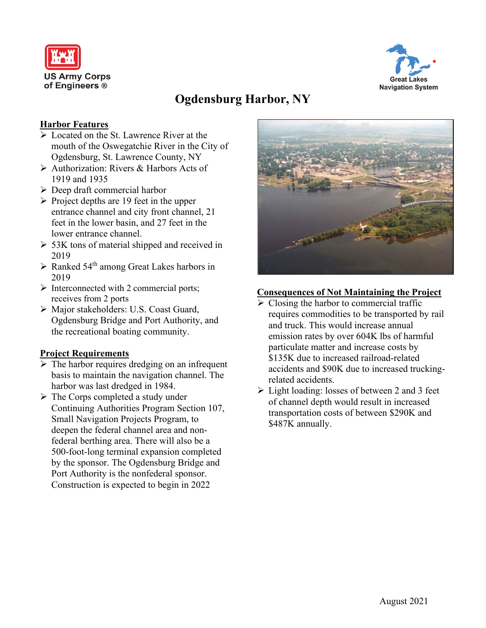



# **Ogdensburg Harbor, NY**

## **Harbor Features**

- Located on the St. Lawrence River at the mouth of the Oswegatchie River in the City of Ogdensburg, St. Lawrence County, NY
- Authorization: Rivers & Harbors Acts of 1919 and 1935
- $\triangleright$  Deep draft commercial harbor
- $\triangleright$  Project depths are 19 feet in the upper entrance channel and city front channel, 21 feet in the lower basin, and 27 feet in the lower entrance channel.
- $>$  53K tons of material shipped and received in 2019
- $\triangleright$  Ranked 54<sup>th</sup> among Great Lakes harbors in 2019
- $\triangleright$  Interconnected with 2 commercial ports; receives from 2 ports
- Major stakeholders: U.S. Coast Guard, Ogdensburg Bridge and Port Authority, and the recreational boating community.

## **Project Requirements**

- $\triangleright$  The harbor requires dredging on an infrequent basis to maintain the navigation channel. The harbor was last dredged in 1984.
- $\triangleright$  The Corps completed a study under Continuing Authorities Program Section 107, Small Navigation Projects Program, to deepen the federal channel area and nonfederal berthing area. There will also be a 500-foot-long terminal expansion completed by the sponsor. The Ogdensburg Bridge and Port Authority is the nonfederal sponsor. Construction is expected to begin in 2022



## **Consequences of Not Maintaining the Project**

- $\triangleright$  Closing the harbor to commercial traffic requires commodities to be transported by rail and truck. This would increase annual emission rates by over 604K lbs of harmful particulate matter and increase costs by \$135K due to increased railroad-related accidents and \$90K due to increased truckingrelated accidents.
- $\triangleright$  Light loading: losses of between 2 and 3 feet of channel depth would result in increased transportation costs of between \$290K and \$487K annually.